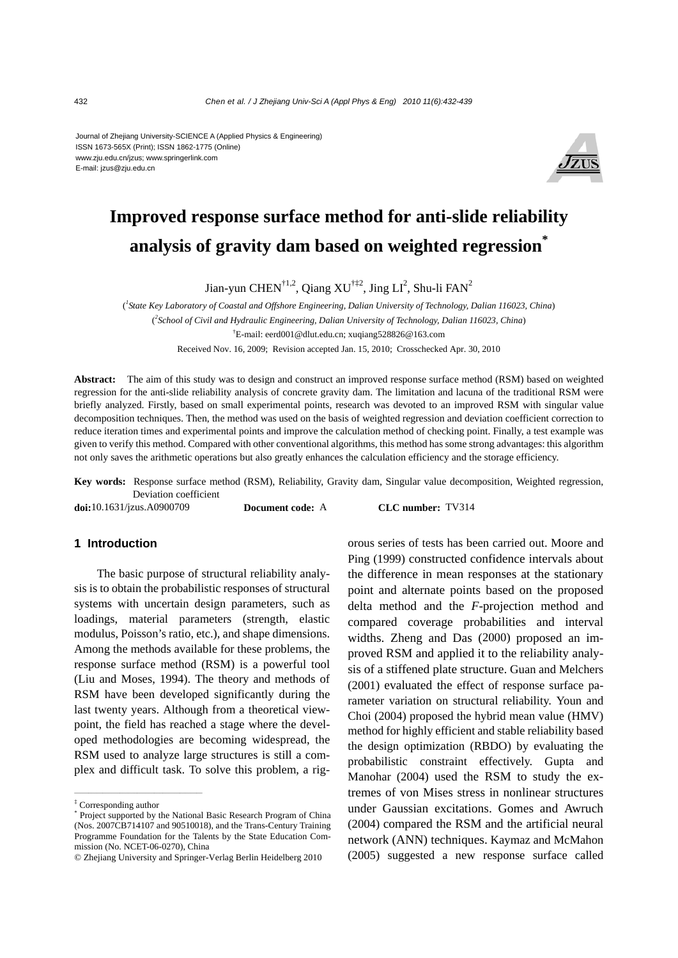#### Journal of Zhejiang University-SCIENCE A (Applied Physics & Engineering) ISSN 1673-565X (Print); ISSN 1862-1775 (Online) www.zju.edu.cn/jzus; www.springerlink.com E-mail: jzus@zju.edu.cn



# **Improved response surface method for anti-slide reliability analysis of gravity dam based on weighted regression\***

Jian-yun CHEN<sup>†1,2</sup>, Qiang XU<sup>†‡2</sup>, Jing LI<sup>2</sup>, Shu-li FAN<sup>2</sup>

( *1 State Key Laboratory of Coastal and Offshore Engineering, Dalian University of Technology, Dalian 116023, China*) ( *2 School of Civil and Hydraulic Engineering, Dalian University of Technology, Dalian 116023, China*) † E-mail: eerd001@dlut.edu.cn; xuqiang528826@163.com Received Nov. 16, 2009; Revision accepted Jan. 15, 2010; Crosschecked Apr. 30, 2010

**Abstract:** The aim of this study was to design and construct an improved response surface method (RSM) based on weighted regression for the anti-slide reliability analysis of concrete gravity dam. The limitation and lacuna of the traditional RSM were briefly analyzed. Firstly, based on small experimental points, research was devoted to an improved RSM with singular value decomposition techniques. Then, the method was used on the basis of weighted regression and deviation coefficient correction to reduce iteration times and experimental points and improve the calculation method of checking point. Finally, a test example was given to verify this method. Compared with other conventional algorithms, this method has some strong advantages: this algorithm not only saves the arithmetic operations but also greatly enhances the calculation efficiency and the storage efficiency.

**Key words:** Response surface method (RSM), Reliability, Gravity dam, Singular value decomposition, Weighted regression, Deviation coefficient **doi:**10.1631/jzus.A0900709 **Document code:** A **CLC number:** TV314

## **1 Introduction**

The basic purpose of structural reliability analysis is to obtain the probabilistic responses of structural systems with uncertain design parameters, such as loadings, material parameters (strength, elastic modulus, Poisson's ratio, etc.), and shape dimensions. Among the methods available for these problems, the response surface method (RSM) is a powerful tool (Liu and Moses, 1994). The theory and methods of RSM have been developed significantly during the last twenty years. Although from a theoretical viewpoint, the field has reached a stage where the developed methodologies are becoming widespread, the RSM used to analyze large structures is still a complex and difficult task. To solve this problem, a rig-

\_\_\_\_\_\_\_\_\_\_\_\_\_\_\_\_\_\_\_\_\_\_\_\_\_\_\_\_\_\_\_\_\_\_\_\_\_\_\_\_\_\_\_\_\_

orous series of tests has been carried out. Moore and Ping (1999) constructed confidence intervals about the difference in mean responses at the stationary point and alternate points based on the proposed delta method and the *F*-projection method and compared coverage probabilities and interval widths. Zheng and Das (2000) proposed an improved RSM and applied it to the reliability analysis of a stiffened plate structure. Guan and Melchers (2001) evaluated the effect of response surface parameter variation on structural reliability. Youn and Choi (2004) proposed the hybrid mean value (HMV) method for highly efficient and stable reliability based the design optimization (RBDO) by evaluating the probabilistic constraint effectively. Gupta and Manohar (2004) used the RSM to study the extremes of von Mises stress in nonlinear structures under Gaussian excitations. Gomes and Awruch (2004) compared the RSM and the artificial neural network (ANN) techniques. Kaymaz and McMahon (2005) suggested a new response surface called

<sup>‡</sup> Corresponding author

<sup>\*</sup> Project supported by the National Basic Research Program of China (Nos. 2007CB714107 and 90510018), and the Trans-Century Training Programme Foundation for the Talents by the State Education Commission (No. NCET-06-0270), China

<sup>©</sup> Zhejiang University and Springer-Verlag Berlin Heidelberg 2010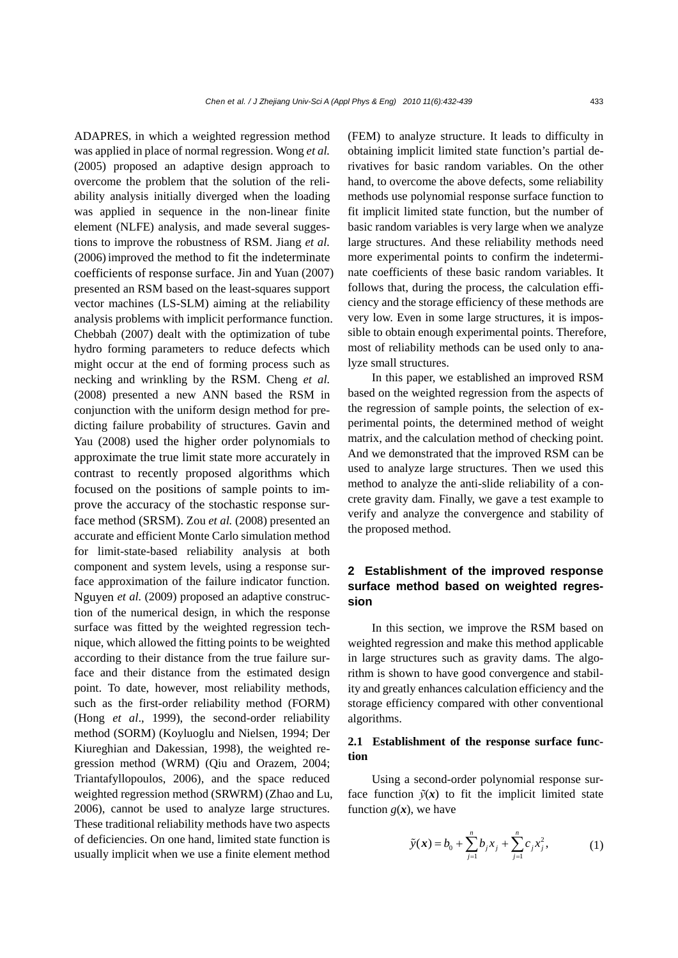ADAPRES, in which a weighted regression method was applied in place of normal regression. Wong *et al.*  (2005) proposed an adaptive design approach to overcome the problem that the solution of the reliability analysis initially diverged when the loading was applied in sequence in the non-linear finite element (NLFE) analysis, and made several suggestions to improve the robustness of RSM. Jiang *et al.* (2006)improved the method to fit the indeterminate coefficients of response surface. Jin and Yuan (2007) presented an RSM based on the least-squares support vector machines (LS-SLM) aiming at the reliability analysis problems with implicit performance function. Chebbah (2007) dealt with the optimization of tube hydro forming parameters to reduce defects which might occur at the end of forming process such as necking and wrinkling by the RSM. Cheng *et al.*  (2008) presented a new ANN based the RSM in conjunction with the uniform design method for predicting failure probability of structures. Gavin and Yau (2008) used the higher order polynomials to approximate the true limit state more accurately in contrast to recently proposed algorithms which focused on the positions of sample points to improve the accuracy of the stochastic response surface method (SRSM). Zou *et al.* (2008) presented an accurate and efficient Monte Carlo simulation method for limit-state-based reliability analysis at both component and system levels, using a response surface approximation of the failure indicator function. Nguyen *et al.* (2009) proposed an adaptive construction of the numerical design, in which the response surface was fitted by the weighted regression technique, which allowed the fitting points to be weighted according to their distance from the true failure surface and their distance from the estimated design point. To date, however, most reliability methods, such as the first-order reliability method (FORM) (Hong *et al*., 1999), the second-order reliability method (SORM) (Koyluoglu and Nielsen, 1994; Der Kiureghian and Dakessian, 1998), the weighted regression method (WRM) (Qiu and Orazem, 2004; Triantafyllopoulos, 2006), and the space reduced weighted regression method (SRWRM) (Zhao and Lu, 2006), cannot be used to analyze large structures. These traditional reliability methods have two aspects of deficiencies. On one hand, limited state function is usually implicit when we use a finite element method

(FEM) to analyze structure. It leads to difficulty in obtaining implicit limited state function's partial derivatives for basic random variables. On the other hand, to overcome the above defects, some reliability methods use polynomial response surface function to fit implicit limited state function, but the number of basic random variables is very large when we analyze large structures. And these reliability methods need more experimental points to confirm the indeterminate coefficients of these basic random variables. It follows that, during the process, the calculation efficiency and the storage efficiency of these methods are very low. Even in some large structures, it is impossible to obtain enough experimental points. Therefore, most of reliability methods can be used only to analyze small structures.

In this paper, we established an improved RSM based on the weighted regression from the aspects of the regression of sample points, the selection of experimental points, the determined method of weight matrix, and the calculation method of checking point. And we demonstrated that the improved RSM can be used to analyze large structures. Then we used this method to analyze the anti-slide reliability of a concrete gravity dam. Finally, we gave a test example to verify and analyze the convergence and stability of the proposed method.

## **2 Establishment of the improved response surface method based on weighted regression**

In this section, we improve the RSM based on weighted regression and make this method applicable in large structures such as gravity dams. The algorithm is shown to have good convergence and stability and greatly enhances calculation efficiency and the storage efficiency compared with other conventional algorithms.

## **2.1 Establishment of the response surface function**

Using a second-order polynomial response surface function  $\tilde{y}(x)$  to fit the implicit limited state function  $g(x)$ , we have

$$
\tilde{y}(\boldsymbol{x}) = b_0 + \sum_{j=1}^{n} b_j x_j + \sum_{j=1}^{n} c_j x_j^2, \qquad (1)
$$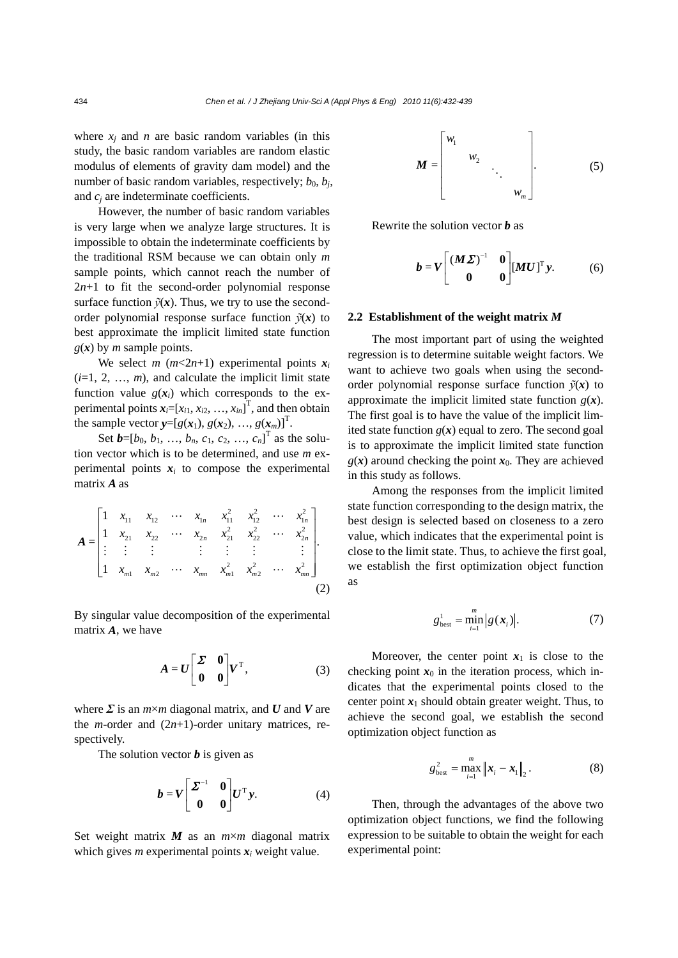where  $x_i$  and  $n$  are basic random variables (in this study, the basic random variables are random elastic modulus of elements of gravity dam model) and the number of basic random variables, respectively;  $b_0$ ,  $b_i$ , and *cj* are indeterminate coefficients.

However, the number of basic random variables is very large when we analyze large structures. It is impossible to obtain the indeterminate coefficients by the traditional RSM because we can obtain only *m* sample points, which cannot reach the number of  $2n+1$  to fit the second-order polynomial response surface function  $\tilde{y}(x)$ . Thus, we try to use the secondorder polynomial response surface function  $\tilde{y}(x)$  to best approximate the implicit limited state function  $g(x)$  by *m* sample points.

We select *m* ( $m < 2n+1$ ) experimental points  $x_i$  $(i=1, 2, ..., m)$ , and calculate the implicit limit state function value  $g(x_i)$  which corresponds to the experimental points  $\boldsymbol{x}_i = [x_{i1}, x_{i2}, \dots, x_{in}]^\text{T}$ , and then obtain the sample vector  $y=[g(x_1), g(x_2), ..., g(x_m)]^T$ .

Set  $\boldsymbol{b} = [b_0, b_1, ..., b_n, c_1, c_2, ..., c_n]^T$  as the solution vector which is to be determined, and use *m* experimental points  $x_i$  to compose the experimental matrix *A* as

$$
A = \begin{bmatrix} 1 & x_{11} & x_{12} & \cdots & x_{1n} & x_{11}^2 & x_{12}^2 & \cdots & x_{1n}^2 \\ 1 & x_{21} & x_{22} & \cdots & x_{2n} & x_{21}^2 & x_{22}^2 & \cdots & x_{2n}^2 \\ \vdots & \vdots & \vdots & \vdots & \vdots & \vdots & \vdots & \vdots \\ 1 & x_{m1} & x_{m2} & \cdots & x_{mn} & x_{m1}^2 & x_{m2}^2 & \cdots & x_{mn}^2 \end{bmatrix}
$$
(2)

By singular value decomposition of the experimental matrix *A*, we have

$$
A = U \begin{bmatrix} \Sigma & 0 \\ 0 & 0 \end{bmatrix} V^{T}, \qquad (3)
$$

where  $\Sigma$  is an  $m \times m$  diagonal matrix, and *U* and *V* are the *m*-order and  $(2n+1)$ -order unitary matrices, respectively.

The solution vector  $\boldsymbol{b}$  is given as

$$
\boldsymbol{b} = \boldsymbol{V} \begin{bmatrix} \boldsymbol{\Sigma}^{-1} & \boldsymbol{0} \\ \boldsymbol{0} & \boldsymbol{0} \end{bmatrix} \boldsymbol{U}^{\mathrm{T}} \boldsymbol{y}.
$$
 (4)

Set weight matrix  $M$  as an  $m \times m$  diagonal matrix which gives *m* experimental points  $x_i$  weight value.

$$
\boldsymbol{M} = \begin{bmatrix} w_1 & & & \\ & w_2 & & \\ & & \ddots & \\ & & & w_m \end{bmatrix} .
$$
 (5)

Rewrite the solution vector *b* as

$$
\boldsymbol{b} = \boldsymbol{V} \begin{bmatrix} (\boldsymbol{M}\boldsymbol{\Sigma})^{-1} & \boldsymbol{0} \\ \boldsymbol{0} & \boldsymbol{0} \end{bmatrix} [\boldsymbol{M}\boldsymbol{U}]^{\mathrm{T}} \boldsymbol{y}.
$$
 (6)

#### **2.2 Establishment of the weight matrix** *M*

The most important part of using the weighted regression is to determine suitable weight factors. We want to achieve two goals when using the secondorder polynomial response surface function  $\tilde{v}(x)$  to approximate the implicit limited state function  $g(x)$ . The first goal is to have the value of the implicit limited state function  $g(x)$  equal to zero. The second goal is to approximate the implicit limited state function  $g(x)$  around checking the point  $x_0$ . They are achieved in this study as follows.

Among the responses from the implicit limited state function corresponding to the design matrix, the best design is selected based on closeness to a zero value, which indicates that the experimental point is close to the limit state. Thus, to achieve the first goal, we establish the first optimization object function as

$$
g_{\text{best}}^1 = \min_{i=1}^m \left| g(x_i) \right|. \tag{7}
$$

Moreover, the center point  $x_1$  is close to the checking point  $x_0$  in the iteration process, which indicates that the experimental points closed to the center point  $x_1$  should obtain greater weight. Thus, to achieve the second goal, we establish the second optimization object function as

$$
g_{\text{best}}^2 = \max_{i=1}^m \left\| \bm{x}_i - \bm{x}_1 \right\|_2.
$$
 (8)

Then, through the advantages of the above two optimization object functions, we find the following expression to be suitable to obtain the weight for each experimental point: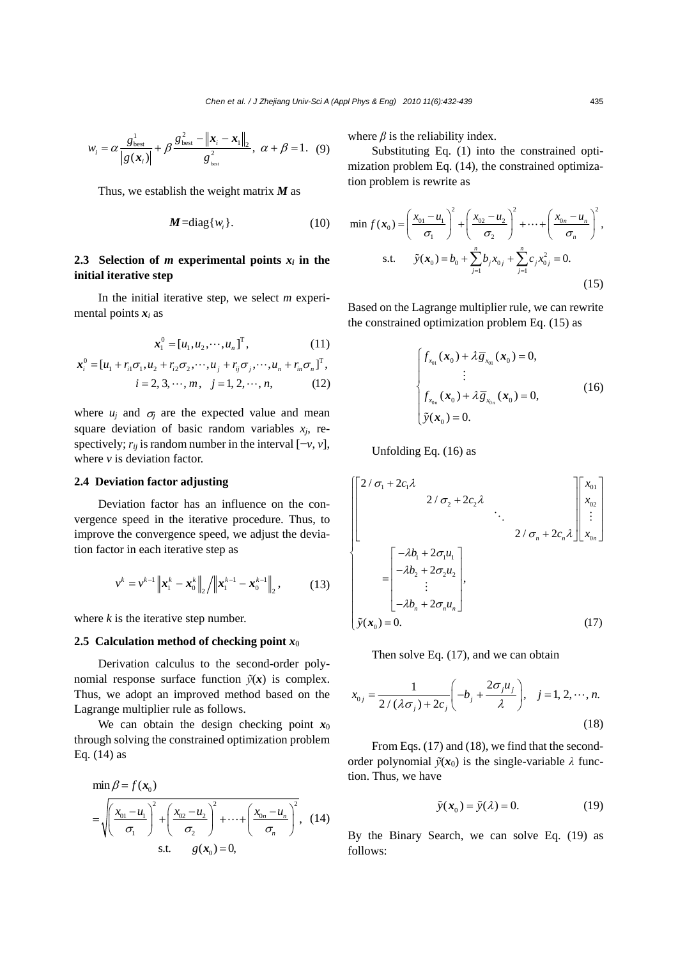$$
w_{i} = \alpha \frac{g_{\text{best}}^{1}}{|g(\bm{x}_{i})|} + \beta \frac{g_{\text{best}}^{2} - ||\bm{x}_{i} - \bm{x}_{1}||_{2}}{g_{\text{best}}^{2}}, \ \alpha + \beta = 1. \tag{9}
$$

Thus, we establish the weight matrix *M* as

$$
M = \text{diag}\{w_i\}.
$$
 (10)

## **2.3 Selection of** *m* **experimental points**  $x_i$  **in the initial iterative step**

In the initial iterative step, we select *m* experimental points  $x_i$  as

$$
\mathbf{x}_1^0 = [u_1, u_2, \cdots, u_n]^T, \tag{11}
$$

$$
\mathbf{x}_{i}^{0} = [u_{1} + r_{i1}\sigma_{1}, u_{2} + r_{i2}\sigma_{2}, \cdots, u_{j} + r_{ij}\sigma_{j}, \cdots, u_{n} + r_{in}\sigma_{n}]^{T},
$$
  
\n
$$
i = 2, 3, \cdots, m, \quad j = 1, 2, \cdots, n,
$$
 (12)

where  $u_i$  and  $\sigma_i$  are the expected value and mean square deviation of basic random variables  $x_i$ , respectively;  $r_{ii}$  is random number in the interval  $[-v, v]$ , where  $\nu$  is deviation factor.

### **2.4 Deviation factor adjusting**

Deviation factor has an influence on the convergence speed in the iterative procedure. Thus, to improve the convergence speed, we adjust the deviation factor in each iterative step as

$$
v^{k} = v^{k-1} \left\| \boldsymbol{x}_{1}^{k} - \boldsymbol{x}_{0}^{k} \right\|_{2} / \left\| \boldsymbol{x}_{1}^{k-1} - \boldsymbol{x}_{0}^{k-1} \right\|_{2}, \qquad (13)
$$

where *k* is the iterative step number.

#### **2.5 Calculation method of checking point**  $x_0$

Derivation calculus to the second-order polynomial response surface function  $\tilde{y}(x)$  is complex. Thus, we adopt an improved method based on the Lagrange multiplier rule as follows.

We can obtain the design checking point  $x_0$ through solving the constrained optimization problem Eq. (14) as

$$
\min \beta = f(\mathbf{x}_0)
$$
\n
$$
= \sqrt{\left(\frac{x_{01} - u_1}{\sigma_1}\right)^2 + \left(\frac{x_{02} - u_2}{\sigma_2}\right)^2 + \dots + \left(\frac{x_{0n} - u_n}{\sigma_n}\right)^2},
$$
 (14)\n
$$
\text{s.t.} \quad g(\mathbf{x}_0) = 0,
$$

where  $\beta$  is the reliability index.

Substituting Eq. (1) into the constrained optimization problem Eq. (14), the constrained optimization problem is rewrite as

$$
\min f(\mathbf{x}_0) = \left(\frac{x_{01} - u_1}{\sigma_1}\right)^2 + \left(\frac{x_{02} - u_2}{\sigma_2}\right)^2 + \dots + \left(\frac{x_{0n} - u_n}{\sigma_n}\right)^2,
$$
  
s.t. 
$$
\tilde{y}(\mathbf{x}_0) = b_0 + \sum_{j=1}^n b_j x_{0j} + \sum_{j=1}^n c_j x_{0j}^2 = 0.
$$
(15)

Based on the Lagrange multiplier rule, we can rewrite the constrained optimization problem Eq. (15) as

$$
\begin{cases}\nf_{x_{01}}(\boldsymbol{x}_0) + \lambda \overline{g}_{x_{01}}(\boldsymbol{x}_0) = 0, \\
\vdots \\
f_{x_{0n}}(\boldsymbol{x}_0) + \lambda \overline{g}_{x_{0n}}(\boldsymbol{x}_0) = 0, \\
\tilde{y}(\boldsymbol{x}_0) = 0.\n\end{cases}
$$
\n(16)

Unfolding Eq. (16) as

$$
\begin{bmatrix}\n2/\sigma_1 + 2c_1\lambda & & & & \\
2/\sigma_2 + 2c_2\lambda & & & \\
& \ddots & & \\
& & 2/\sigma_n + 2c_n\lambda\n\end{bmatrix}\n\begin{bmatrix}\nx_{01} \\
x_{02} \\
\vdots \\
x_{0n}\n\end{bmatrix}
$$
\n
$$
= \begin{bmatrix}\n-\lambda b_1 + 2\sigma_1 u_1 \\
-\lambda b_2 + 2\sigma_2 u_2 \\
\vdots \\
-\lambda b_n + 2\sigma_n u_n\n\end{bmatrix},
$$
\n
$$
\tilde{y}(x_0) = 0.
$$
\n(17)

Then solve Eq. (17), and we can obtain

$$
x_{0j} = \frac{1}{2/(\lambda \sigma_j) + 2c_j} \left( -b_j + \frac{2\sigma_j u_j}{\lambda} \right), \quad j = 1, 2, \cdots, n.
$$
\n(18)

From Eqs. (17) and (18), we find that the secondorder polynomial  $\tilde{y}(x_0)$  is the single-variable  $\lambda$  function. Thus, we have

$$
\tilde{y}(\boldsymbol{x}_0) = \tilde{y}(\lambda) = 0.
$$
 (19)

By the Binary Search, we can solve Eq. (19) as follows: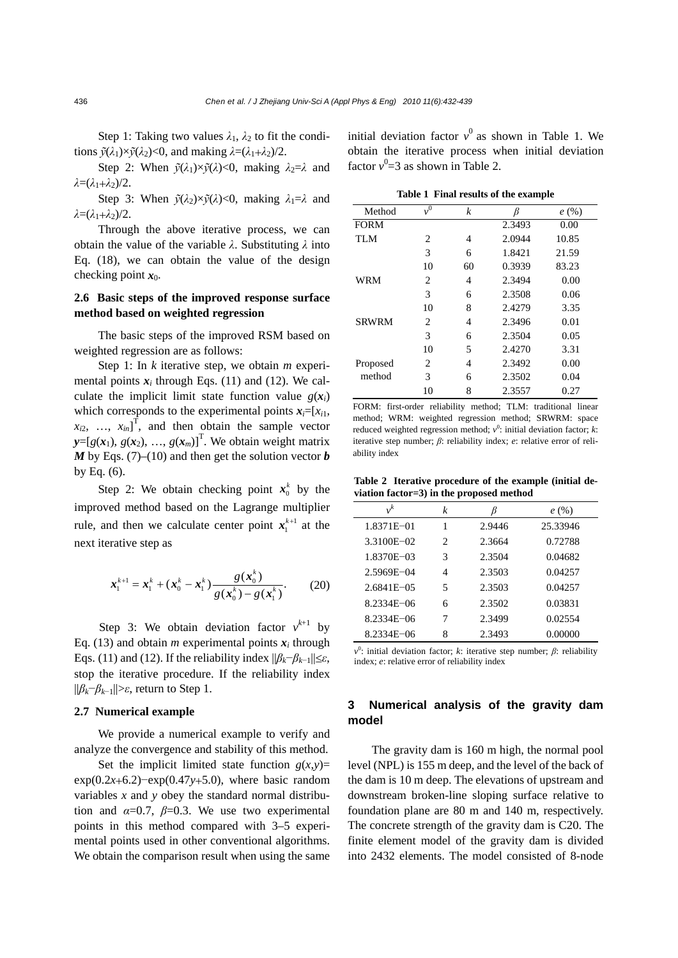Step 1: Taking two values  $\lambda_1$ ,  $\lambda_2$  to fit the conditions  $\tilde{y}(\lambda_1) \times \tilde{y}(\lambda_2) \le 0$ , and making  $\lambda = (\lambda_1 + \lambda_2)/2$ .

Step 2: When  $\tilde{y}(\lambda_1) \times \tilde{y}(\lambda) < 0$ , making  $\lambda_2 = \lambda$  and *λ*=(*λ*1+*λ*2)/2.

Step 3: When  $\tilde{y}(\lambda_2) \times \tilde{y}(\lambda) < 0$ , making  $\lambda_1 = \lambda$  and *λ*=(*λ*1+*λ*2)/2.

Through the above iterative process, we can obtain the value of the variable *λ*. Substituting *λ* into Eq. (18), we can obtain the value of the design checking point  $x_0$ .

## **2.6 Basic steps of the improved response surface method based on weighted regression**

The basic steps of the improved RSM based on weighted regression are as follows:

Step 1: In *k* iterative step, we obtain *m* experimental points  $x_i$  through Eqs. (11) and (12). We calculate the implicit limit state function value  $g(x_i)$ which corresponds to the experimental points  $\mathbf{x}_i = [x_i]$ ,  $x_{i2}$ , ...,  $x_{in}$ <sup>T</sup>, and then obtain the sample vector  $y=[g(x_1), g(x_2), ..., g(x_m)]^T$ . We obtain weight matrix *M* by Eqs. (7)–(10) and then get the solution vector *b*  by Eq. (6).

Step 2: We obtain checking point  $x_0^k$  by the improved method based on the Lagrange multiplier rule, and then we calculate center point  $x_i^{k+1}$  at the next iterative step as

$$
\mathbf{x}_{1}^{k+1} = \mathbf{x}_{1}^{k} + (\mathbf{x}_{0}^{k} - \mathbf{x}_{1}^{k}) \frac{g(\mathbf{x}_{0}^{k})}{g(\mathbf{x}_{0}^{k}) - g(\mathbf{x}_{1}^{k})}.
$$
 (20)

Step 3: We obtain deviation factor  $v^{k+1}$  by Eq. (13) and obtain *m* experimental points  $x_i$  through Eqs. (11) and (12). If the reliability index  $||\beta_k-\beta_{k-1}||\leq \epsilon$ , stop the iterative procedure. If the reliability index ||*βk*−*βk*−1||>*ε*, return to Step 1.

#### **2.7 Numerical example**

We provide a numerical example to verify and analyze the convergence and stability of this method.

Set the implicit limited state function  $g(x,y)$ = exp(0.2*x*+6.2)−exp(0.47*y*+5.0), where basic random variables *x* and *y* obey the standard normal distribution and  $\alpha=0.7$ ,  $\beta=0.3$ . We use two experimental points in this method compared with 3–5 experimental points used in other conventional algorithms. We obtain the comparison result when using the same

initial deviation factor  $v^0$  as shown in Table 1. We obtain the iterative process when initial deviation factor  $v^0 = 3$  as shown in Table 2.

| Table 1 Final results of the example |  |  |  |  |
|--------------------------------------|--|--|--|--|
|--------------------------------------|--|--|--|--|

| Method       | $v^0$ | k  | ß      | e(%)  |
|--------------|-------|----|--------|-------|
| <b>FORM</b>  |       |    | 2.3493 | 0.00  |
| <b>TLM</b>   | 2     | 4  | 2.0944 | 10.85 |
|              | 3     | 6  | 1.8421 | 21.59 |
|              | 10    | 60 | 0.3939 | 83.23 |
| <b>WRM</b>   | 2     | 4  | 2.3494 | 0.00  |
|              | 3     | 6  | 2.3508 | 0.06  |
|              | 10    | 8  | 2.4279 | 3.35  |
| <b>SRWRM</b> | 2     | 4  | 2.3496 | 0.01  |
|              | 3     | 6  | 2.3504 | 0.05  |
|              | 10    | 5  | 2.4270 | 3.31  |
| Proposed     | 2     | 4  | 2.3492 | 0.00  |
| method       | 3     | 6  | 2.3502 | 0.04  |
|              | 10    | 8  | 2.3557 | 0.27  |

FORM: first-order reliability method; TLM: traditional linear method; WRM: weighted regression method; SRWRM: space reduced weighted regression method;  $v^0$ : initial deviation factor;  $k$ : iterative step number; *β*: reliability index; *e*: relative error of reliability index

**Table 2 Iterative procedure of the example (initial deviation factor=3) in the proposed method** 

| , k             | k |        | e(%)     |
|-----------------|---|--------|----------|
| 1.8371E-01      | 1 | 2.9446 | 25.33946 |
| 3.3100E-02      | 2 | 2.3664 | 0.72788  |
| 1.8370E-03      | 3 | 2.3504 | 0.04682  |
| $2.5969E - 04$  | 4 | 2.3503 | 0.04257  |
| $2.6841E - 0.5$ | 5 | 2.3503 | 0.04257  |
| 8.2334E-06      | 6 | 2.3502 | 0.03831  |
| 8.2334E-06      | 7 | 2.3499 | 0.02554  |
| 8.2334E-06      | 8 | 2.3493 | 0.00000  |

*v*0 : initial deviation factor; *k*: iterative step number; *β*: reliability index; *e*: relative error of reliability index

## **3 Numerical analysis of the gravity dam model**

The gravity dam is 160 m high, the normal pool level (NPL) is 155 m deep, and the level of the back of the dam is 10 m deep. The elevations of upstream and downstream broken-line sloping surface relative to foundation plane are 80 m and 140 m, respectively. The concrete strength of the gravity dam is C20. The finite element model of the gravity dam is divided into 2432 elements. The model consisted of 8-node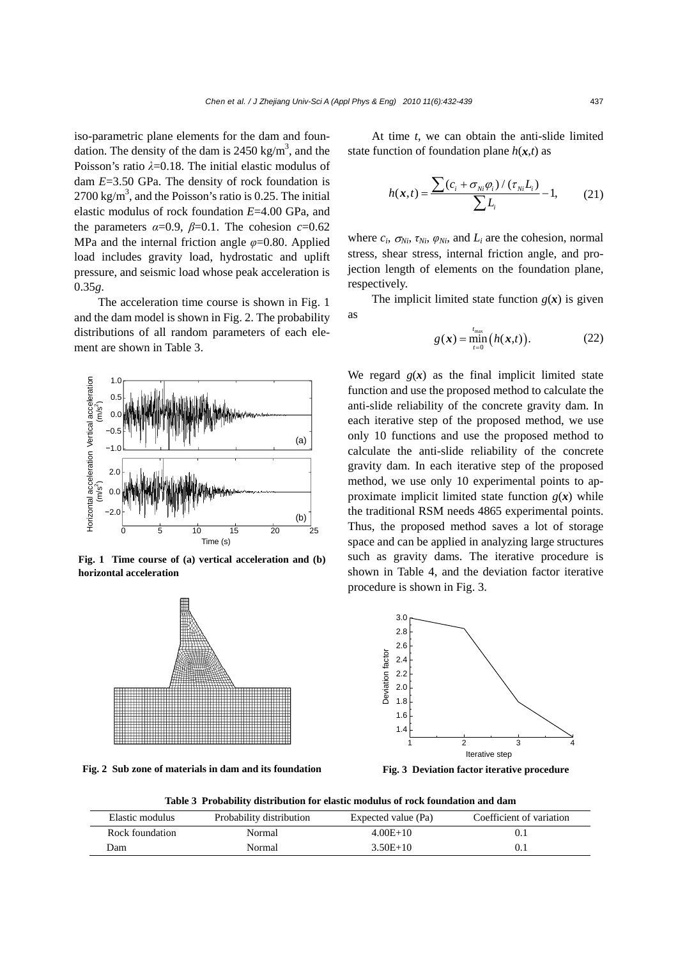iso-parametric plane elements for the dam and foundation. The density of the dam is  $2450 \text{ kg/m}^3$ , and the Poisson's ratio *λ*=0.18. The initial elastic modulus of dam *E*=3.50 GPa. The density of rock foundation is  $2700 \text{ kg/m}^3$ , and the Poisson's ratio is 0.25. The initial elastic modulus of rock foundation *E*=4.00 GPa, and the parameters  $\alpha=0.9$ ,  $\beta=0.1$ . The cohesion  $c=0.62$ MPa and the internal friction angle  $\varphi$ =0.80. Applied load includes gravity load, hydrostatic and uplift pressure, and seismic load whose peak acceleration is 0.35*g*.

The acceleration time course is shown in Fig. 1 and the dam model is shown in Fig. 2. The probability distributions of all random parameters of each element are shown in Table 3.



**Fig. 1 Time course of (a) vertical acceleration and (b)** 



**Fig. 2 Sub zone of materials in dam and its foundation** 

At time *t*, we can obtain the anti-slide limited state function of foundation plane  $h(x,t)$  as

$$
h(x,t) = \frac{\sum (c_i + \sigma_{Ni} \varphi_i) / (\tau_{Ni} L_i)}{\sum L_i} - 1,
$$
 (21)

where  $c_i$ ,  $\sigma_{Ni}$ ,  $\tau_{Ni}$ ,  $\varphi_{Ni}$ , and  $L_i$  are the cohesion, normal stress, shear stress, internal friction angle, and projection length of elements on the foundation plane, respectively.

The implicit limited state function  $g(x)$  is given as

$$
g(\mathbf{x}) = \min_{t=0}^{t_{\text{max}}} (h(\mathbf{x},t)).
$$
 (22)

We regard  $g(x)$  as the final implicit limited state function and use the proposed method to calculate the anti-slide reliability of the concrete gravity dam. In each iterative step of the proposed method, we use only 10 functions and use the proposed method to calculate the anti-slide reliability of the concrete gravity dam. In each iterative step of the proposed method, we use only 10 experimental points to approximate implicit limited state function  $g(x)$  while the traditional RSM needs 4865 experimental points. Thus, the proposed method saves a lot of storage space and can be applied in analyzing large structures such as gravity dams. The iterative procedure is shown in Table 4, and the deviation factor iterative procedure is shown in Fig. 3.



**Fig. 3 Deviation factor iterative procedure**

**Table 3 Probability distribution for elastic modulus of rock foundation and dam** 

| Elastic modulus | Probability distribution | Expected value (Pa) | Coefficient of variation |
|-----------------|--------------------------|---------------------|--------------------------|
| Rock foundation | Normal                   | $4.00E+10$          |                          |
| Dam             | Normal                   | $3.50E+10$          |                          |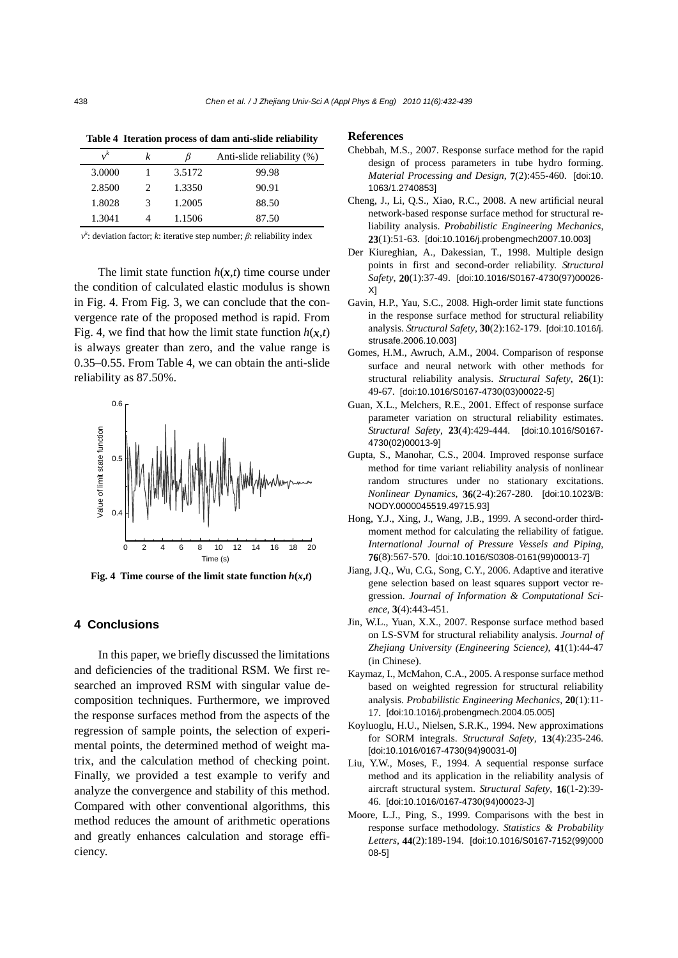| Table 4 Iteration process of dam anti-slide reliability |               |        |                            |  |
|---------------------------------------------------------|---------------|--------|----------------------------|--|
| $v^k$                                                   | k             |        | Anti-slide reliability (%) |  |
| 3.0000                                                  |               | 3.5172 | 99.98                      |  |
| 2.8500                                                  | $\mathcal{L}$ | 1.3350 | 90.91                      |  |
| 1.8028                                                  | 3             | 1.2005 | 88.50                      |  |
| 1.3041                                                  |               | 1.1506 | 87.50                      |  |

*v<sup>k</sup>*: deviation factor; *k*: iterative step number; *β*: reliability index

The limit state function  $h(x,t)$  time course under the condition of calculated elastic modulus is shown in Fig. 4. From Fig. 3, we can conclude that the convergence rate of the proposed method is rapid. From Fig. 4, we find that how the limit state function  $h(x,t)$ is always greater than zero, and the value range is 0.35–0.55. From Table 4, we can obtain the anti-slide reliability as 87.50%.



**Fig. 4 Time course of the limit state function**  $h(x,t)$ 

#### **4 Conclusions**

In this paper, we briefly discussed the limitations and deficiencies of the traditional RSM. We first researched an improved RSM with singular value decomposition techniques. Furthermore, we improved the response surfaces method from the aspects of the regression of sample points, the selection of experimental points, the determined method of weight matrix, and the calculation method of checking point. Finally, we provided a test example to verify and analyze the convergence and stability of this method. Compared with other conventional algorithms, this method reduces the amount of arithmetic operations and greatly enhances calculation and storage efficiency.

#### **References**

- Chebbah, M.S., 2007. Response surface method for the rapid design of process parameters in tube hydro forming. *Material Processing and Design*, **7**(2):455-460. [doi:10. 1063/1.2740853]
- Cheng, J., Li, Q.S., Xiao, R.C., 2008. A new artificial neural network-based response surface method for structural reliability analysis. *Probabilistic Engineering Mechanics*, **23**(1):51-63. [doi:10.1016/j.probengmech2007.10.003]
- Der Kiureghian, A., Dakessian, T., 1998. Multiple design points in first and second-order reliability. *Structural Safety*, **20**(1):37-49. [doi:10.1016/S0167-4730(97)00026- X]
- Gavin, H.P., Yau, S.C., 2008. High-order limit state functions in the response surface method for structural reliability analysis. *Structural Safety*, **30**(2):162-179. [doi:10.1016/j. strusafe.2006.10.003]
- Gomes, H.M., Awruch, A.M., 2004. Comparison of response surface and neural network with other methods for structural reliability analysis. *Structural Safety*, **26**(1): 49-67. [doi:10.1016/S0167-4730(03)00022-5]
- Guan, X.L., Melchers, R.E., 2001. Effect of response surface parameter variation on structural reliability estimates. *Structural Safety*, **23**(4):429-444. [doi:10.1016/S0167- 4730(02)00013-9]
- Gupta, S., Manohar, C.S., 2004. Improved response surface method for time variant reliability analysis of nonlinear random structures under no stationary excitations. *Nonlinear Dynamics*, **36**(2-4):267-280. [doi:10.1023/B: NODY.0000045519.49715.93]
- Hong, Y.J., Xing, J., Wang, J.B., 1999. A second-order thirdmoment method for calculating the reliability of fatigue. *International Journal of Pressure Vessels and Piping*, **76**(8):567-570. [doi:10.1016/S0308-0161(99)00013-7]
- Jiang, J.Q., Wu, C.G., Song, C.Y., 2006. Adaptive and iterative gene selection based on least squares support vector regression. *Journal of Information & Computational Science*, **3**(4):443-451.
- Jin, W.L., Yuan, X.X., 2007. Response surface method based on LS-SVM for structural reliability analysis. *Journal of Zhejiang University (Engineering Science)*, **41**(1):44-47 (in Chinese).
- Kaymaz, I., McMahon, C.A., 2005. A response surface method based on weighted regression for structural reliability analysis. *Probabilistic Engineering Mechanics*, **20**(1):11- 17. [doi:10.1016/j.probengmech.2004.05.005]
- Koyluoglu, H.U., Nielsen, S.R.K., 1994. New approximations for SORM integrals. *Structural Safety*, **13**(4):235-246. [doi:10.1016/0167-4730(94)90031-0]
- Liu, Y.W., Moses, F., 1994. A sequential response surface method and its application in the reliability analysis of aircraft structural system. *Structural Safety*, **16**(1-2):39- 46. [doi:10.1016/0167-4730(94)00023-J]
- Moore, L.J., Ping, S., 1999. Comparisons with the best in response surface methodology. *Statistics & Probability Letters*, **44**(2):189-194. [doi:10.1016/S0167-7152(99)000 08-5]